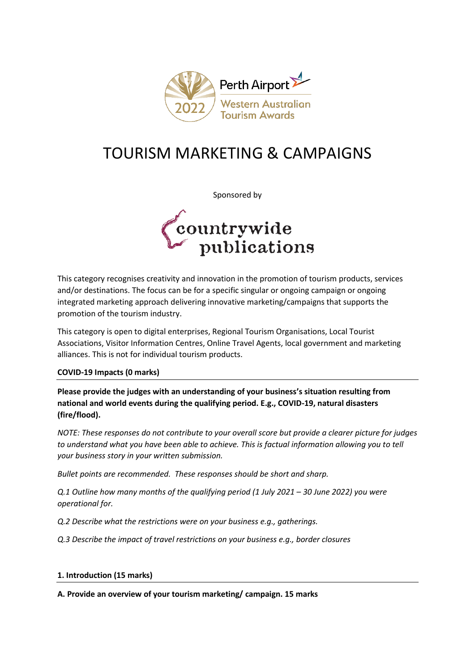

# TOURISM MARKETING & CAMPAIGNS

Sponsored by



This category recognises creativity and innovation in the promotion of tourism products, services and/or destinations. The focus can be for a specific singular or ongoing campaign or ongoing integrated marketing approach delivering innovative marketing/campaigns that supports the promotion of the tourism industry.

This category is open to digital enterprises, Regional Tourism Organisations, Local Tourist Associations, Visitor Information Centres, Online Travel Agents, local government and marketing alliances. This is not for individual tourism products.

# **COVID-19 Impacts (0 marks)**

**Please provide the judges with an understanding of your business's situation resulting from national and world events during the qualifying period. E.g., COVID-19, natural disasters (fire/flood).**

*NOTE: These responses do not contribute to your overall score but provide a clearer picture for judges to understand what you have been able to achieve. This is factual information allowing you to tell your business story in your written submission.* 

*Bullet points are recommended. These responses should be short and sharp.*

*Q.1 Outline how many months of the qualifying period (1 July 2021 – 30 June 2022) you were operational for.*

*Q.2 Describe what the restrictions were on your business e.g., gatherings.*

*Q.3 Describe the impact of travel restrictions on your business e.g., border closures*

### **1. Introduction (15 marks)**

**A. Provide an overview of your tourism marketing/ campaign. 15 marks**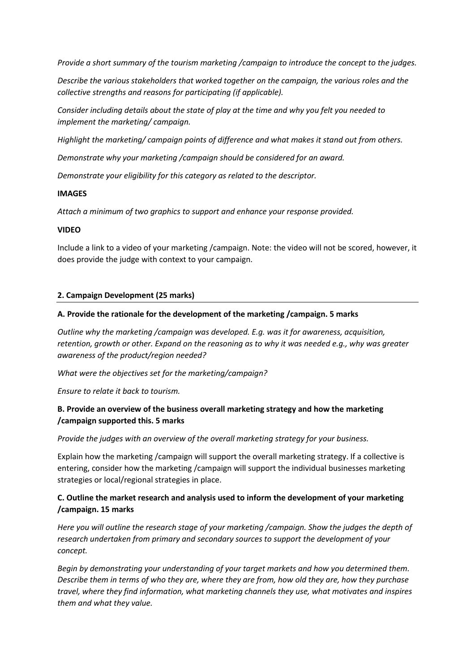*Provide a short summary of the tourism marketing /campaign to introduce the concept to the judges.*

*Describe the various stakeholders that worked together on the campaign, the various roles and the collective strengths and reasons for participating (if applicable).*

*Consider including details about the state of play at the time and why you felt you needed to implement the marketing/ campaign.* 

*Highlight the marketing/ campaign points of difference and what makes it stand out from others.*

*Demonstrate why your marketing /campaign should be considered for an award.* 

*Demonstrate your eligibility for this category as related to the descriptor.* 

### **IMAGES**

*Attach a minimum of two graphics to support and enhance your response provided.* 

### **VIDEO**

Include a link to a video of your marketing /campaign. Note: the video will not be scored, however, it does provide the judge with context to your campaign.

### **2. Campaign Development (25 marks)**

### **A. Provide the rationale for the development of the marketing /campaign. 5 marks**

*Outline why the marketing /campaign was developed. E.g. was it for awareness, acquisition, retention, growth or other. Expand on the reasoning as to why it was needed e.g., why was greater awareness of the product/region needed?*

*What were the objectives set for the marketing/campaign?*

*Ensure to relate it back to tourism.* 

## **B. Provide an overview of the business overall marketing strategy and how the marketing /campaign supported this. 5 marks**

*Provide the judges with an overview of the overall marketing strategy for your business.* 

Explain how the marketing /campaign will support the overall marketing strategy. If a collective is entering, consider how the marketing /campaign will support the individual businesses marketing strategies or local/regional strategies in place.

# **C. Outline the market research and analysis used to inform the development of your marketing /campaign. 15 marks**

*Here you will outline the research stage of your marketing /campaign. Show the judges the depth of research undertaken from primary and secondary sources to support the development of your concept.*

*Begin by demonstrating your understanding of your target markets and how you determined them. Describe them in terms of who they are, where they are from, how old they are, how they purchase travel, where they find information, what marketing channels they use, what motivates and inspires them and what they value.*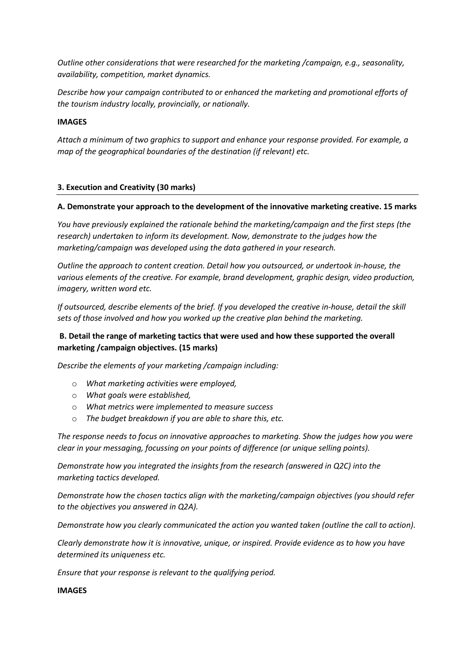*Outline other considerations that were researched for the marketing /campaign, e.g., seasonality, availability, competition, market dynamics.* 

*Describe how your campaign contributed to or enhanced the marketing and promotional efforts of the tourism industry locally, provincially, or nationally.*

## **IMAGES**

*Attach a minimum of two graphics to support and enhance your response provided. For example, a map of the geographical boundaries of the destination (if relevant) etc.* 

# **3. Execution and Creativity (30 marks)**

## **A. Demonstrate your approach to the development of the innovative marketing creative. 15 marks**

*You have previously explained the rationale behind the marketing/campaign and the first steps (the research) undertaken to inform its development. Now, demonstrate to the judges how the marketing/campaign was developed using the data gathered in your research.* 

*Outline the approach to content creation. Detail how you outsourced, or undertook in-house, the various elements of the creative. For example, brand development, graphic design, video production, imagery, written word etc.* 

*If outsourced, describe elements of the brief. If you developed the creative in-house, detail the skill sets of those involved and how you worked up the creative plan behind the marketing.* 

# **B. Detail the range of marketing tactics that were used and how these supported the overall marketing /campaign objectives. (15 marks)**

*Describe the elements of your marketing /campaign including:*

- o *What marketing activities were employed,*
- o *What goals were established,*
- o *What metrics were implemented to measure success*
- o *The budget breakdown if you are able to share this, etc.*

*The response needs to focus on innovative approaches to marketing. Show the judges how you were clear in your messaging, focussing on your points of difference (or unique selling points).* 

*Demonstrate how you integrated the insights from the research (answered in Q2C) into the marketing tactics developed.*

*Demonstrate how the chosen tactics align with the marketing/campaign objectives (you should refer to the objectives you answered in Q2A).*

*Demonstrate how you clearly communicated the action you wanted taken (outline the call to action).*

*Clearly demonstrate how it is innovative, unique, or inspired. Provide evidence as to how you have determined its uniqueness etc.*

*Ensure that your response is relevant to the qualifying period.*

## **IMAGES**